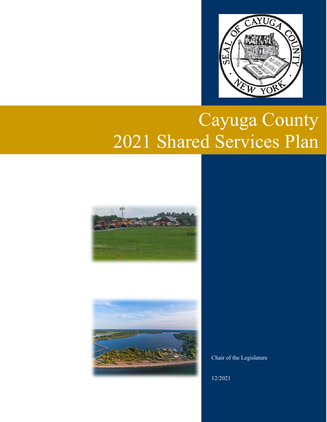

# Cayuga County 2021 Shared Services Plan





Chair of the Legislature

12/2021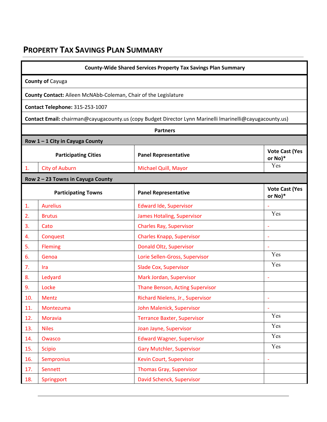# **PROPERTY TAX SAVINGS PLAN SUMMARY**

|     | <b>County-Wide Shared Services Property Tax Savings Plan Summary</b> |                                                                                                          |                                  |  |  |  |
|-----|----------------------------------------------------------------------|----------------------------------------------------------------------------------------------------------|----------------------------------|--|--|--|
|     | <b>County of Cayuga</b>                                              |                                                                                                          |                                  |  |  |  |
|     | County Contact: Aileen McNAbb-Coleman, Chair of the Legislature      |                                                                                                          |                                  |  |  |  |
|     | Contact Telephone: 315-253-1007                                      |                                                                                                          |                                  |  |  |  |
|     |                                                                      | Contact Email: chairman@cayugacounty.us (copy Budget Director Lynn Marinelli Imarinelli@cayugacounty.us) |                                  |  |  |  |
|     |                                                                      | <b>Partners</b>                                                                                          |                                  |  |  |  |
|     | Row 1-1 City in Cayuga County                                        |                                                                                                          |                                  |  |  |  |
|     | <b>Participating Cities</b>                                          | <b>Panel Representative</b>                                                                              | <b>Vote Cast (Yes</b><br>or No)* |  |  |  |
| 1.  | <b>City of Auburn</b>                                                | Michael Quill, Mayor                                                                                     | Yes                              |  |  |  |
|     | Row 2 - 23 Towns in Cayuga County                                    |                                                                                                          |                                  |  |  |  |
|     | <b>Participating Towns</b>                                           | <b>Panel Representative</b>                                                                              | <b>Vote Cast (Yes</b><br>or No)* |  |  |  |
| 1.  | <b>Aurelius</b>                                                      | <b>Edward Ide, Supervisor</b>                                                                            |                                  |  |  |  |
| 2.  | <b>Brutus</b>                                                        | <b>James Hotaling, Supervisor</b>                                                                        | Yes                              |  |  |  |
| 3.  | Cato                                                                 | <b>Charles Ray, Supervisor</b>                                                                           |                                  |  |  |  |
| 4.  | Conquest                                                             | <b>Charles Knapp, Supervisor</b>                                                                         | $\overline{\phantom{a}}$         |  |  |  |
| 5.  | <b>Fleming</b>                                                       | Donald Oltz, Supervisor                                                                                  |                                  |  |  |  |
| 6.  | Genoa                                                                | Lorie Sellen-Gross, Supervisor                                                                           | Yes                              |  |  |  |
| 7.  | Ira                                                                  | <b>Slade Cox, Supervisor</b>                                                                             | Yes                              |  |  |  |
| 8.  | Ledyard                                                              | Mark Jordan, Supervisor                                                                                  |                                  |  |  |  |
| 9.  | Locke                                                                | Thane Benson, Acting Supervisor                                                                          |                                  |  |  |  |
| 10. | <b>Mentz</b>                                                         | Richard Nielens, Jr., Supervisor                                                                         | $\blacksquare$                   |  |  |  |
| 11. | Montezuma                                                            | John Malenick, Supervisor                                                                                |                                  |  |  |  |
| 12. | <b>Moravia</b>                                                       | <b>Terrance Baxter, Supervisor</b>                                                                       | Yes                              |  |  |  |
| 13. | <b>Niles</b>                                                         | Joan Jayne, Supervisor                                                                                   | Yes                              |  |  |  |
| 14. | Owasco                                                               | <b>Edward Wagner, Supervisor</b>                                                                         | Yes                              |  |  |  |
| 15. | <b>Scipio</b>                                                        | <b>Gary Mutchler, Supervisor</b>                                                                         | Yes                              |  |  |  |
| 16. | Sempronius                                                           | Kevin Court, Supervisor                                                                                  |                                  |  |  |  |
| 17. | Sennett                                                              | <b>Thomas Gray, Supervisor</b>                                                                           |                                  |  |  |  |
| 18. | Springport                                                           | David Schenck, Supervisor                                                                                |                                  |  |  |  |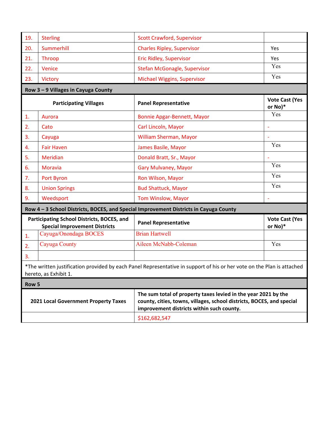| 19.                                  | <b>Sterling</b>                                                                    | <b>Scott Crawford, Supervisor</b>                                                                                                                                                    |                                  |
|--------------------------------------|------------------------------------------------------------------------------------|--------------------------------------------------------------------------------------------------------------------------------------------------------------------------------------|----------------------------------|
| 20.                                  | Summerhill                                                                         | <b>Charles Ripley, Supervisor</b>                                                                                                                                                    | Yes                              |
| 21.                                  | Throop                                                                             | <b>Eric Ridley, Supervisor</b>                                                                                                                                                       | Yes                              |
| 22.                                  | Venice                                                                             | <b>Stefan McGonagle, Supervisor</b>                                                                                                                                                  | Yes                              |
| 23.                                  | <b>Victory</b>                                                                     | Michael Wiggins, Supervisor                                                                                                                                                          | Yes                              |
|                                      | Row 3 - 9 Villages in Cayuga County                                                |                                                                                                                                                                                      |                                  |
|                                      | <b>Participating Villages</b>                                                      | <b>Panel Representative</b>                                                                                                                                                          | <b>Vote Cast (Yes</b><br>or No)* |
| $\mathbf{1}$ .                       | Aurora                                                                             | <b>Bonnie Apgar-Bennett, Mayor</b>                                                                                                                                                   | Yes                              |
| 2.                                   | Cato                                                                               | Carl Lincoln, Mayor                                                                                                                                                                  |                                  |
| 3.                                   | Cayuga                                                                             | William Sherman, Mayor                                                                                                                                                               | ÷                                |
| 4.                                   | <b>Fair Haven</b>                                                                  | James Basile, Mayor                                                                                                                                                                  | Yes                              |
| 5.                                   | <b>Meridian</b>                                                                    | Donald Bratt, Sr., Mayor                                                                                                                                                             |                                  |
| 6.                                   | Moravia                                                                            | <b>Gary Mulvaney, Mayor</b>                                                                                                                                                          | Yes                              |
| 7.                                   | Port Byron                                                                         | Ron Wilson, Mayor                                                                                                                                                                    | Yes                              |
| 8.                                   | <b>Union Springs</b>                                                               | <b>Bud Shattuck, Mayor</b>                                                                                                                                                           | Yes                              |
| 9.                                   | Weedsport                                                                          | Tom Winslow, Mayor                                                                                                                                                                   | ÷,                               |
|                                      |                                                                                    | Row 4-3 School Districts, BOCES, and Special Improvement Districts in Cayuga County                                                                                                  |                                  |
|                                      | Participating School Districts, BOCES, and<br><b>Special Improvement Districts</b> | <b>Panel Representative</b>                                                                                                                                                          | <b>Vote Cast (Yes</b><br>or No)* |
| 1.                                   | Cayuga/Onondaga BOCES                                                              | <b>Brian Hartwell</b>                                                                                                                                                                |                                  |
| 2.                                   | Cayuga County                                                                      | Aileen McNabb-Coleman                                                                                                                                                                | Yes                              |
| 3.                                   |                                                                                    |                                                                                                                                                                                      |                                  |
|                                      | hereto, as Exhibit 1.                                                              | *The written justification provided by each Panel Representative in support of his or her vote on the Plan is attached                                                               |                                  |
| Row 5                                |                                                                                    |                                                                                                                                                                                      |                                  |
| 2021 Local Government Property Taxes |                                                                                    | The sum total of property taxes levied in the year 2021 by the<br>county, cities, towns, villages, school districts, BOCES, and special<br>improvement districts within such county. |                                  |
|                                      |                                                                                    |                                                                                                                                                                                      |                                  |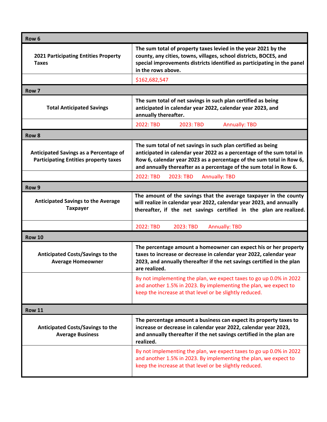| Row <sub>6</sub>                                                                       |                                                                                                                                                                                                                                                                                     |  |  |
|----------------------------------------------------------------------------------------|-------------------------------------------------------------------------------------------------------------------------------------------------------------------------------------------------------------------------------------------------------------------------------------|--|--|
| <b>2021 Participating Entities Property</b><br><b>Taxes</b>                            | The sum total of property taxes levied in the year 2021 by the<br>county, any cities, towns, villages, school districts, BOCES, and<br>special improvements districts identified as participating in the panel<br>in the rows above.                                                |  |  |
|                                                                                        | \$162,682,547                                                                                                                                                                                                                                                                       |  |  |
| Row 7                                                                                  |                                                                                                                                                                                                                                                                                     |  |  |
| <b>Total Anticipated Savings</b>                                                       | The sum total of net savings in such plan certified as being<br>anticipated in calendar year 2022, calendar year 2023, and<br>annually thereafter.                                                                                                                                  |  |  |
|                                                                                        | 2022: TBD<br>2023: TBD<br><b>Annually: TBD</b>                                                                                                                                                                                                                                      |  |  |
| Row <sub>8</sub>                                                                       |                                                                                                                                                                                                                                                                                     |  |  |
| Anticipated Savings as a Percentage of<br><b>Participating Entities property taxes</b> | The sum total of net savings in such plan certified as being<br>anticipated in calendar year 2022 as a percentage of the sum total in<br>Row 6, calendar year 2023 as a percentage of the sum total in Row 6,<br>and annually thereafter as a percentage of the sum total in Row 6. |  |  |
|                                                                                        | 2022: TBD<br>2023: TBD<br><b>Annually: TBD</b>                                                                                                                                                                                                                                      |  |  |
| Row 9                                                                                  |                                                                                                                                                                                                                                                                                     |  |  |
| <b>Anticipated Savings to the Average</b><br><b>Taxpayer</b>                           | The amount of the savings that the average taxpayer in the county<br>will realize in calendar year 2022, calendar year 2023, and annually<br>thereafter, if the net savings certified in the plan are realized.                                                                     |  |  |
|                                                                                        | 2022: TBD<br>2023: TBD<br><b>Annually: TBD</b>                                                                                                                                                                                                                                      |  |  |
| <b>Row 10</b>                                                                          |                                                                                                                                                                                                                                                                                     |  |  |
| <b>Anticipated Costs/Savings to the</b><br><b>Average Homeowner</b>                    | The percentage amount a homeowner can expect his or her property<br>taxes to increase or decrease in calendar year 2022, calendar year<br>2023, and annually thereafter if the net savings certified in the plan<br>are realized.                                                   |  |  |
|                                                                                        | By not implementing the plan, we expect taxes to go up 0.0% in 2022<br>and another 1.5% in 2023. By implementing the plan, we expect to<br>keep the increase at that level or be slightly reduced.                                                                                  |  |  |
| <b>Row 11</b>                                                                          |                                                                                                                                                                                                                                                                                     |  |  |
| <b>Anticipated Costs/Savings to the</b><br><b>Average Business</b>                     | The percentage amount a business can expect its property taxes to<br>increase or decrease in calendar year 2022, calendar year 2023,<br>and annually thereafter if the net savings certified in the plan are<br>realized.                                                           |  |  |
|                                                                                        | By not implementing the plan, we expect taxes to go up 0.0% in 2022<br>and another 1.5% in 2023. By implementing the plan, we expect to<br>keep the increase at that level or be slightly reduced.                                                                                  |  |  |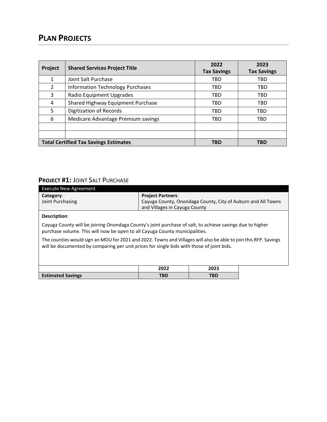# **PLAN PROJECTS**

| Project       | <b>Shared Services Project Title</b>         | 2022<br><b>Tax Savings</b> | 2023<br><b>Tax Savings</b> |
|---------------|----------------------------------------------|----------------------------|----------------------------|
| 1             | Joint Salt Purchase                          | TBD                        | TBD                        |
| $\mathcal{L}$ | <b>Information Technology Purchases</b>      | TBD                        | TBD                        |
| 3             | Radio Equipment Upgrades                     | TBD                        | TBD                        |
| 4             | Shared Highway Equipment Purchase            | TBD                        | TBD                        |
| 5.            | <b>Digitization of Records</b>               | TBD                        | TBD                        |
| 6             | Medicare Advantage Premium savings           | TBD                        | TBD                        |
|               |                                              |                            |                            |
|               |                                              |                            |                            |
|               | <b>Total Certified Tax Savings Estimates</b> | TBD                        | <b>TBD</b>                 |

#### **PROJECT #1:** JOINT SALT PURCHASE

| <b>Execute New Agreement</b>                                                                                                                                                                                  |                               |                                                              |  |  |  |
|---------------------------------------------------------------------------------------------------------------------------------------------------------------------------------------------------------------|-------------------------------|--------------------------------------------------------------|--|--|--|
| Category:                                                                                                                                                                                                     | <b>Project Partners:</b>      |                                                              |  |  |  |
| Joint Purchasing                                                                                                                                                                                              |                               | Cayuga County, Onondaga County, City of Auburn and All Towns |  |  |  |
|                                                                                                                                                                                                               | and Villages in Cayuga County |                                                              |  |  |  |
| Description:                                                                                                                                                                                                  |                               |                                                              |  |  |  |
| Cayuga County will be joining Onondaga County's joint purchase of salt, to achieve savings due to higher<br>purchase volume. This will now be open to all Cayuga County municipalities.                       |                               |                                                              |  |  |  |
| The counties would sign an MOU for 2021 and 2022. Towns and Villages will also be able to join this RFP. Savings<br>will be documented by comparing per unit prices for single bids with those of joint bids. |                               |                                                              |  |  |  |
|                                                                                                                                                                                                               |                               |                                                              |  |  |  |
|                                                                                                                                                                                                               | 2022                          | 2023                                                         |  |  |  |
| <b>Estimated Savings</b>                                                                                                                                                                                      | <b>TBD</b>                    | <b>TBD</b>                                                   |  |  |  |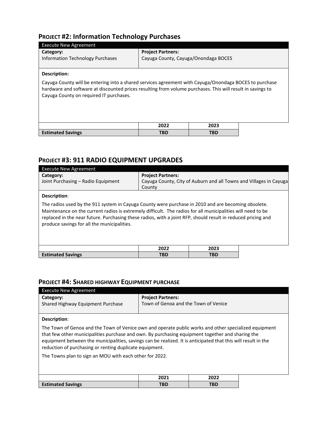## **PROJECT #2: Information Technology Purchases**

| <b>Execute New Agreement</b>                                                                                                                                                                                                                                    |                                      |      |  |  |
|-----------------------------------------------------------------------------------------------------------------------------------------------------------------------------------------------------------------------------------------------------------------|--------------------------------------|------|--|--|
| Category:                                                                                                                                                                                                                                                       | <b>Project Partners:</b>             |      |  |  |
| <b>Information Technology Purchases</b>                                                                                                                                                                                                                         | Cayuga County, Cayuga/Onondaga BOCES |      |  |  |
|                                                                                                                                                                                                                                                                 |                                      |      |  |  |
| Description:                                                                                                                                                                                                                                                    |                                      |      |  |  |
| Cayuga County will be entering into a shared services agreement with Cayuga/Onondaga BOCES to purchase<br>hardware and software at discounted prices resulting from volume purchases. This will result in savings to<br>Cayuga County on required IT purchases. |                                      |      |  |  |
|                                                                                                                                                                                                                                                                 | 2022                                 | 2023 |  |  |
| <b>Estimated Savings</b>                                                                                                                                                                                                                                        | <b>TBD</b>                           | TBD  |  |  |
|                                                                                                                                                                                                                                                                 |                                      |      |  |  |

### **PROJECT #3: 911 RADIO EQUIPMENT UPGRADES**

| <b>Execute New Agreement</b>                                                                                                                                                                                                                                                                                                                                                      |                                    |                                                                    |  |  |  |
|-----------------------------------------------------------------------------------------------------------------------------------------------------------------------------------------------------------------------------------------------------------------------------------------------------------------------------------------------------------------------------------|------------------------------------|--------------------------------------------------------------------|--|--|--|
| Category:<br>Joint Purchasing - Radio Equipment                                                                                                                                                                                                                                                                                                                                   | <b>Project Partners:</b><br>County | Cayuga County, City of Auburn and all Towns and Villages in Cayuga |  |  |  |
| Description:                                                                                                                                                                                                                                                                                                                                                                      |                                    |                                                                    |  |  |  |
| The radios used by the 911 system in Cayuga County were purchase in 2010 and are becoming obsolete.<br>Maintenance on the current radios is extremely difficult. The radios for all municipalities will need to be<br>replaced in the near future. Purchasing these radios, with a joint RFP, should result in reduced pricing and<br>produce savings for all the municipalities. |                                    |                                                                    |  |  |  |
|                                                                                                                                                                                                                                                                                                                                                                                   | 2022                               | 2023                                                               |  |  |  |
| <b>Estimated Savings</b>                                                                                                                                                                                                                                                                                                                                                          | <b>TBD</b>                         | <b>TBD</b>                                                         |  |  |  |

#### **PROJECT #4: SHARED HIGHWAY EQUIPMENT PURCHASE**

| <b>Execute New Agreement</b>                                                                                                                                                                                                                                                                                                                                                          |                                      |            |  |  |  |
|---------------------------------------------------------------------------------------------------------------------------------------------------------------------------------------------------------------------------------------------------------------------------------------------------------------------------------------------------------------------------------------|--------------------------------------|------------|--|--|--|
| Category:                                                                                                                                                                                                                                                                                                                                                                             | <b>Project Partners:</b>             |            |  |  |  |
| Shared Highway Equipment Purchase                                                                                                                                                                                                                                                                                                                                                     | Town of Genoa and the Town of Venice |            |  |  |  |
|                                                                                                                                                                                                                                                                                                                                                                                       |                                      |            |  |  |  |
| Description:                                                                                                                                                                                                                                                                                                                                                                          |                                      |            |  |  |  |
| The Town of Genoa and the Town of Venice own and operate public works and other specialized equipment<br>that few other municipalities purchase and own. By purchasing equipment together and sharing the<br>equipment between the municipalities, savings can be realized. It is anticipated that this will result in the<br>reduction of purchasing or renting duplicate equipment. |                                      |            |  |  |  |
| The Towns plan to sign an MOU with each other for 2022.                                                                                                                                                                                                                                                                                                                               |                                      |            |  |  |  |
|                                                                                                                                                                                                                                                                                                                                                                                       |                                      |            |  |  |  |
|                                                                                                                                                                                                                                                                                                                                                                                       | 2021                                 | 2022       |  |  |  |
| <b>Estimated Savings</b>                                                                                                                                                                                                                                                                                                                                                              | <b>TBD</b>                           | <b>TBD</b> |  |  |  |